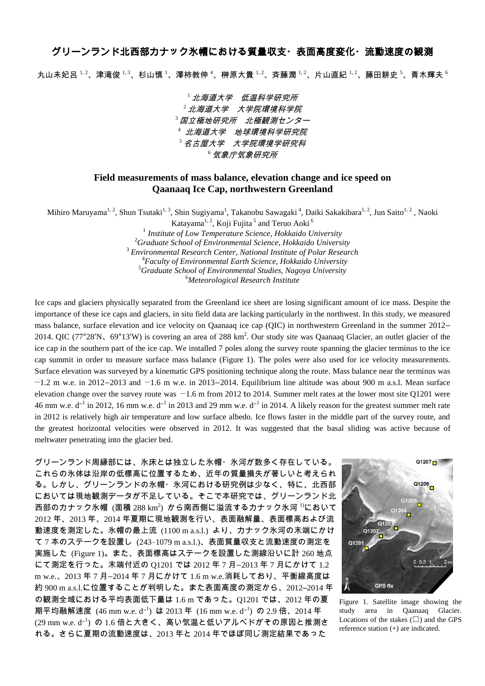## グリーンランド北西部カナック氷帽における質量収支・表面高度変化・流動速度の観測

丸山未妃呂  $^{1,2}$ 、津滝俊  $^{1,3}$ 、杉山慎  $^{1}$ 、澤柿教伸  $^{4}$ 、榊原大貴  $^{1,2}$ 、斉藤潤  $^{1,2}$ 、片山直紀  $^{1,2}$ 、藤田耕史  $^{5}$ 、青木輝夫  $^{6}$ 

北海道大学 低温科学研究所  $^2$ 北海道大学 大学院環境科学院 国立極地研究所 北極観測センター 北海道大学 地球環境科学研究院 名古屋大学 大学院環境学研究科 <sup>6</sup>気象庁気象研究所

## **Field measurements of mass balance, elevation change and ice speed on Qaanaaq Ice Cap, northwestern Greenland**

Mihiro Maruyama<sup>1, 2</sup>, Shun Tsutaki<sup>1, 3</sup>, Shin Sugiyama<sup>1</sup>, Takanobu Sawagaki <sup>4</sup>, Daiki Sakakibara<sup>1, 2</sup>, Jun Saito<sup>1, 2</sup> , Naoki

Katayama<sup>1, 2</sup>, Koji Fujita<sup>5</sup> and Teruo Aoki<sup>6</sup> *Institute of Low Temperature Science, Hokkaido University Graduate School of Environmental Science, Hokkaido University Environmental Research Center, National Institute of Polar Research Faculty of Environmental Earth Science, Hokkaido University Graduate School of Environmental Studies, Nagoya University Meteorological Research Institute*

Ice caps and glaciers physically separated from the Greenland ice sheet are losing significant amount of ice mass. Despite the importance of these ice caps and glaciers, in situ field data are lacking particularly in the northwest. In this study, we measured mass balance, surface elevation and ice velocity on Qaanaaq ice cap (QIC) in northwestern Greenland in the summer 2012– 2014. QIC (77°28'N, 69°13'W) is covering an area of 288 km<sup>2</sup>. Our study site was Qaanaaq Glacier, an outlet glacier of the ice cap in the southern part of the ice cap. We installed 7 poles along the survey route spanning the glacier terminus to the ice cap summit in order to measure surface mass balance (Figure 1). The poles were also used for ice velocity measurements. Surface elevation was surveyed by a kinematic GPS positioning technique along the route. Mass balance near the terminus was −1.2 m w.e. in 2012–2013 and −1.6 m w.e. in 2013–2014. Equilibrium line altitude was about 900 m a.s.l. Mean surface elevation change over the survey route was −1.6 m from 2012 to 2014. Summer melt rates at the lower most site Q1201 were 46 mm w.e.  $d^{-1}$  in 2012, 16 mm w.e.  $d^{-1}$  in 2013 and 29 mm w.e.  $d^{-1}$  in 2014. A likely reason for the greatest summer melt rate in 2012 is relatively high air temperature and low surface albedo. Ice flows faster in the middle part of the survey route, and the greatest horizontal velocities were observed in 2012. It was suggested that the basal sliding was active because of meltwater penetrating into the glacier bed.

グリーンランド周縁部には、氷床とは独立した氷帽・氷河が数多く存在している。 これらの氷体は沿岸の低標高に位置するため、近年の質量損失が著しいと考えられ る。しかし、グリーンランドの氷帽・氷河における研究例は少なく、特に、北西部 においては現地観測データが不足している。そこで本研究では、グリーンランド北 西部のカナック氷帽  $(\bar{\bm{\text{m}}} \; 288 \, \text{km}^2)$  から南西側に溢流するカナック氷河  $^{\text{D}}$ において 2012 年、2013 年、2014 年夏期に現地観測を行い、表面融解量、表面標高および流 動速度を測定した。氷帽の最上流 (1100 m a.s.l.) より、カナック氷河の末端にかけ て 7 本のステークを設置し (243–1079 m a.s.l.)、表面質量収支と流動速度の測定を 実施した (Figure 1)。また、表面標高はステークを設置した測線沿いに計 260 地点 にて測定を行った。末端付近の Q1201 では 2012 年 7 月–2013 年 7 月にかけて 1.2 m w.e.、2013 年 7 月–2014 年 7 月にかけて 1.6 m w.e.消耗しており、平衡線高度は 約 900 m a.s.l.に位置することが判明した。また表面高度の測定から、2012–2014 年 の観測全域における平均表面低下量は 1.6 m であった。Q1201 では、2012 年の夏 期平均融解速度 (46 mm w.e. d<sup>-1</sup>) は 2013 年 (16 mm w.e. d<sup>-1</sup>) の 2.9 倍、2014 年 (29 mm w.e. d<sup>−</sup> 1 ) の 1.6 倍と大きく、高い気温と低いアルべドがその原因と推測さ れる。さらに夏期の流動速度は、2013 年と 2014 年でほぼ同じ測定結果であった



Figure 1. Satellite image showing the study area in Qaanaaq Glacier. Locations of the stakes  $(\Box)$  and the GPS reference station (+) are indicated.